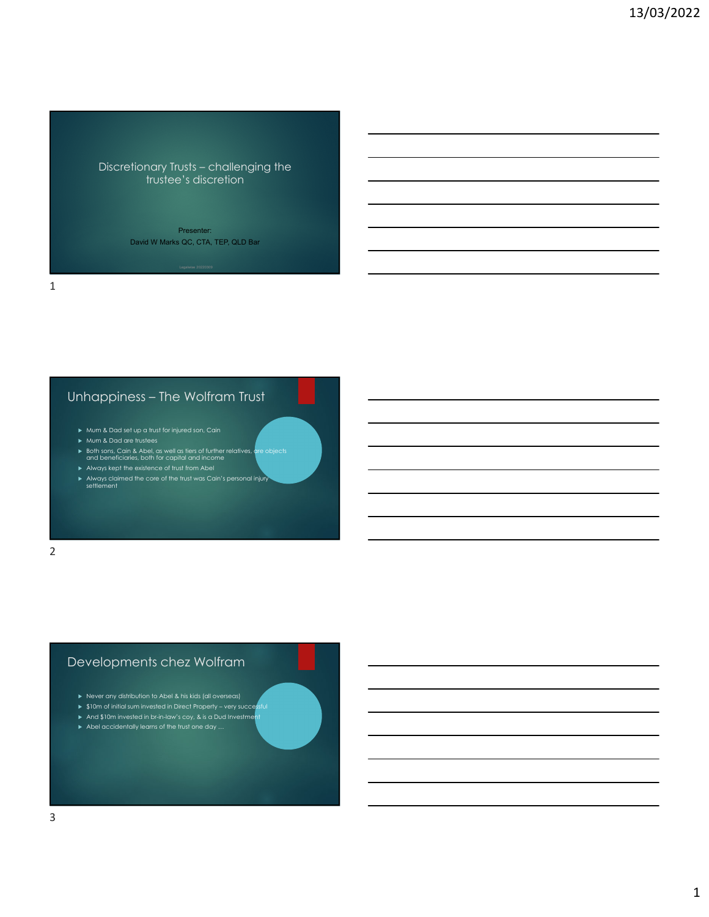Discretionary Trusts – challenging the trustee's discretion

> Presenter: David W Marks QC, CTA, TEP, QLD Bar

Unhappiness – The Wolfram Trust

- Mum & Dad set up a trust for injured son, Cain
- Mum & Dad are trustees
- Both sons, Cain & Abel, as well as tiers of further relatives, are objects and beneficiaries, both for capital and income
- Always kept the existence of trust from Abel
- Always claimed the core of the trust was Cain's personal injury settlement

2

1

## Developments chez Wolfram

- Never any distribution to Abel & his kids (all overseas)
- $\triangleright$  \$10m of initial sum invested in Direct Property very successful
- And \$10m invested in br-in-law's coy, & is a Dud Investment
- Abel accidentally learns of the trust one day …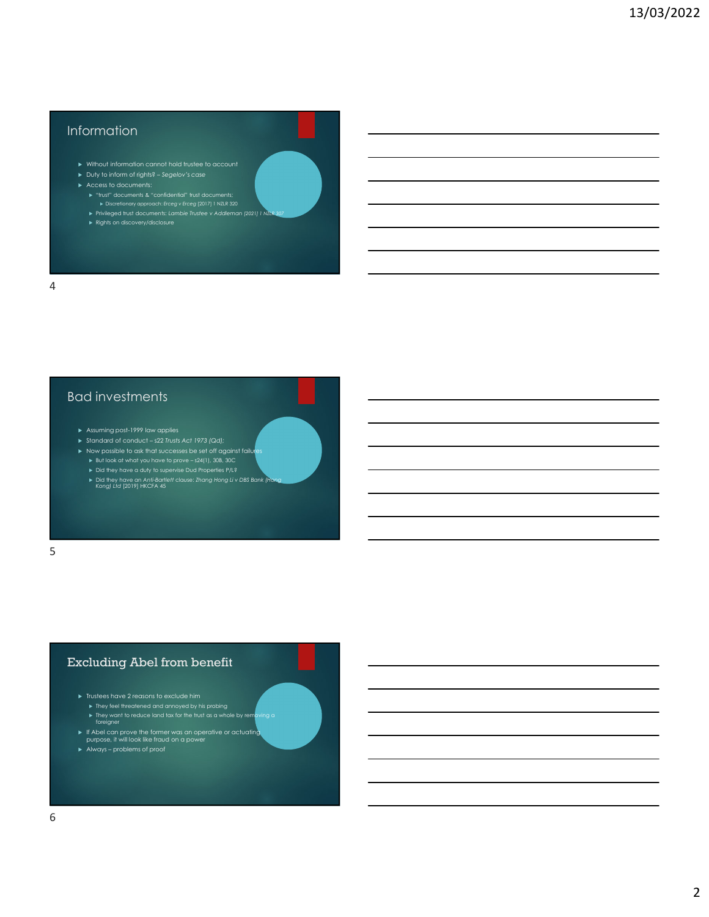# Information

- Without information cannot hold trustee to account Duty to inform of rights? – *Segelov's case*
- 
- -
- "trust" documents & "confidential" trust documents; Discretionary approach: *Erceg v Erceg* [2017] 1 NZLR 320 Privileged trust documents: *Lambie Trustee v Addleman [2021] 1 NZLR 307*
- 

# Bad investments

- Assuming post-1999 law applies
- Standard of conduct s22 *Trusts Act 1973 (Qd);*
- $\triangleright$  Now possible to ask that successes be set off against failures
	- But look at what you have to prove s24(1), 30B, 30C
	- Did they have a duty to supervise Dud Properties P/L?
	- Did they have an *Anti-Bartlett* clause: *Zhang Hong Li v DBS Bank (Hong Kong) Ltd* [2019] HKCFA 45

5

## Excluding Abel from benefit

- $\blacktriangleright$  Trustees have 2 reasons to exclude him
	- They feel threatened and annoyed by his probing They want to reduce land tax for the trust as a whole by removing a foreigner
- If Abel can prove the former was an operative or actuating purpose, it will look like fraud on a power
- 
- Always problems of proof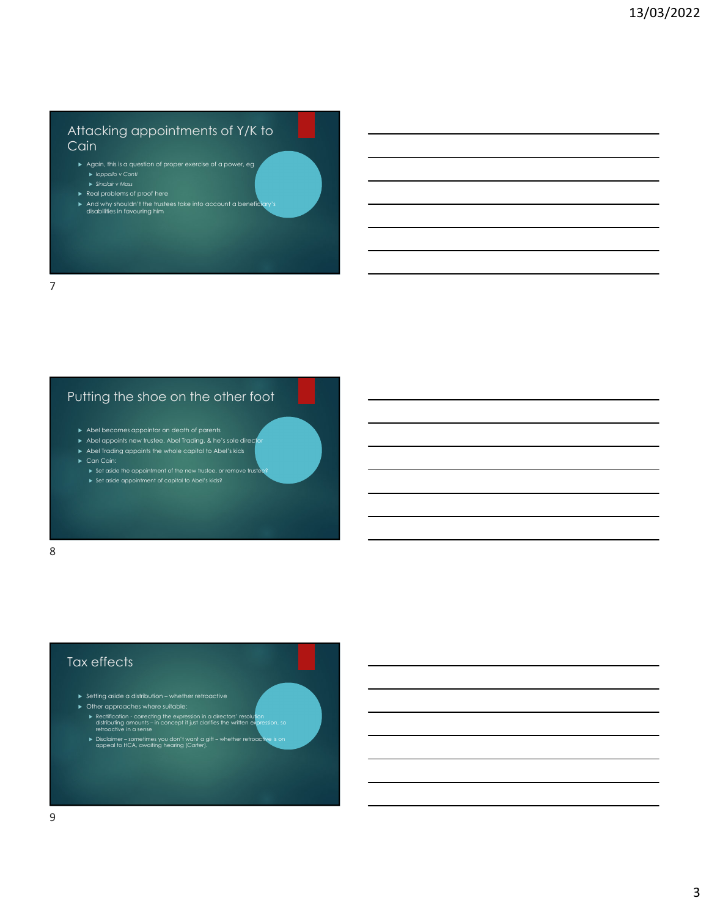## Attacking appointments of Y/K to **Cain**

- Again, this is a question of proper exercise of a power, eg
- Real problems of proof here
- 
- And why shouldn't the trustees take into account a beneficiary's disabilities in favouring him

#### 7

# Putting the shoe on the other foot

- $\blacktriangleright$  Abel becomes appointor on death of parents
- Abel appoints new trustee, Abel Trading, & he's sole director
- Abel Trading appoints the whole capital to Abel's kids
- - Set aside the appointment of the new trustee, or remove trustee? Set aside appointment of capital to Abel's kids?
- 8

## Tax effects

- Setting aside a distribution whether retroactive
- Other approaches where suitable:
	- Rectification correcting the expression in a directors' resolution distributing amounts in concept it just clarifies the written expression, so retroactive in a sense
	- Disclaimer sometimes you don't want a gift whether retroactive is on appeal to HCA, awaiting hearing (*Carter*).